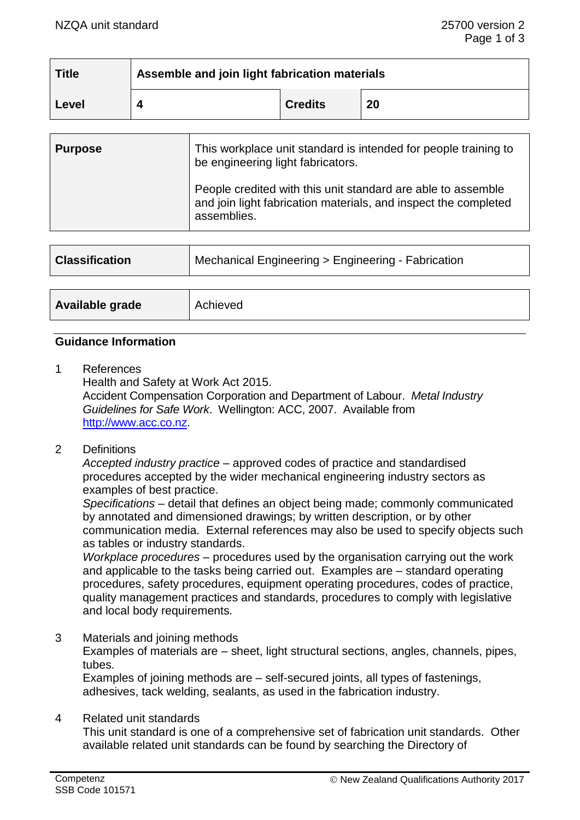| <b>Title</b> | Assemble and join light fabrication materials |                |    |
|--------------|-----------------------------------------------|----------------|----|
| Level        |                                               | <b>Credits</b> | 20 |

| <b>Purpose</b> | This workplace unit standard is intended for people training to<br>be engineering light fabricators.                                           |  |
|----------------|------------------------------------------------------------------------------------------------------------------------------------------------|--|
|                | People credited with this unit standard are able to assemble<br>and join light fabrication materials, and inspect the completed<br>assemblies. |  |
|                |                                                                                                                                                |  |

| <b>Classification</b> | Mechanical Engineering > Engineering - Fabrication |  |
|-----------------------|----------------------------------------------------|--|
|                       |                                                    |  |
| Available grade       | Achieved                                           |  |

### **Guidance Information**

1 References

Health and Safety at Work Act 2015. Accident Compensation Corporation and Department of Labour. *Metal Industry Guidelines for Safe Work*. Wellington: ACC, 2007. Available from [http://www.acc.co.nz.](http://www.acc.co.nz/)

2 Definitions

*Accepted industry practice –* approved codes of practice and standardised procedures accepted by the wider mechanical engineering industry sectors as examples of best practice.

*Specifications –* detail that defines an object being made; commonly communicated by annotated and dimensioned drawings; by written description, or by other communication media. External references may also be used to specify objects such as tables or industry standards.

*Workplace procedures –* procedures used by the organisation carrying out the work and applicable to the tasks being carried out. Examples are – standard operating procedures, safety procedures, equipment operating procedures, codes of practice, quality management practices and standards, procedures to comply with legislative and local body requirements*.*

- 3 Materials and joining methods Examples of materials are – sheet, light structural sections, angles, channels, pipes, tubes. Examples of joining methods are – self-secured joints, all types of fastenings, adhesives, tack welding, sealants, as used in the fabrication industry.
- 4 Related unit standards

This unit standard is one of a comprehensive set of fabrication unit standards. Other available related unit standards can be found by searching the Directory of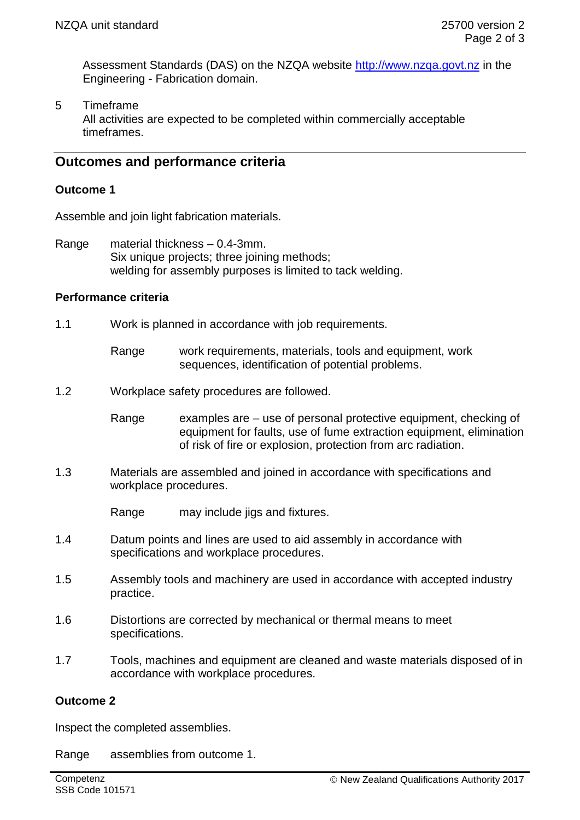Assessment Standards (DAS) on the NZQA website [http://www.nzqa.govt.nz](http://www.nzqa.govt.nz/) in the Engineering - Fabrication domain.

5 Timeframe

All activities are expected to be completed within commercially acceptable timeframes.

# **Outcomes and performance criteria**

#### **Outcome 1**

Assemble and join light fabrication materials.

Range material thickness – 0.4-3mm. Six unique projects; three joining methods; welding for assembly purposes is limited to tack welding.

# **Performance criteria**

- 1.1 Work is planned in accordance with job requirements.
	- Range work requirements, materials, tools and equipment, work sequences, identification of potential problems.
- 1.2 Workplace safety procedures are followed.
	- Range examples are use of personal protective equipment, checking of equipment for faults, use of fume extraction equipment, elimination of risk of fire or explosion, protection from arc radiation.
- 1.3 Materials are assembled and joined in accordance with specifications and workplace procedures.
	- Range may include jigs and fixtures.
- 1.4 Datum points and lines are used to aid assembly in accordance with specifications and workplace procedures.
- 1.5 Assembly tools and machinery are used in accordance with accepted industry practice.
- 1.6 Distortions are corrected by mechanical or thermal means to meet specifications.
- 1.7 Tools, machines and equipment are cleaned and waste materials disposed of in accordance with workplace procedures.

#### **Outcome 2**

Inspect the completed assemblies.

Range assemblies from outcome 1.